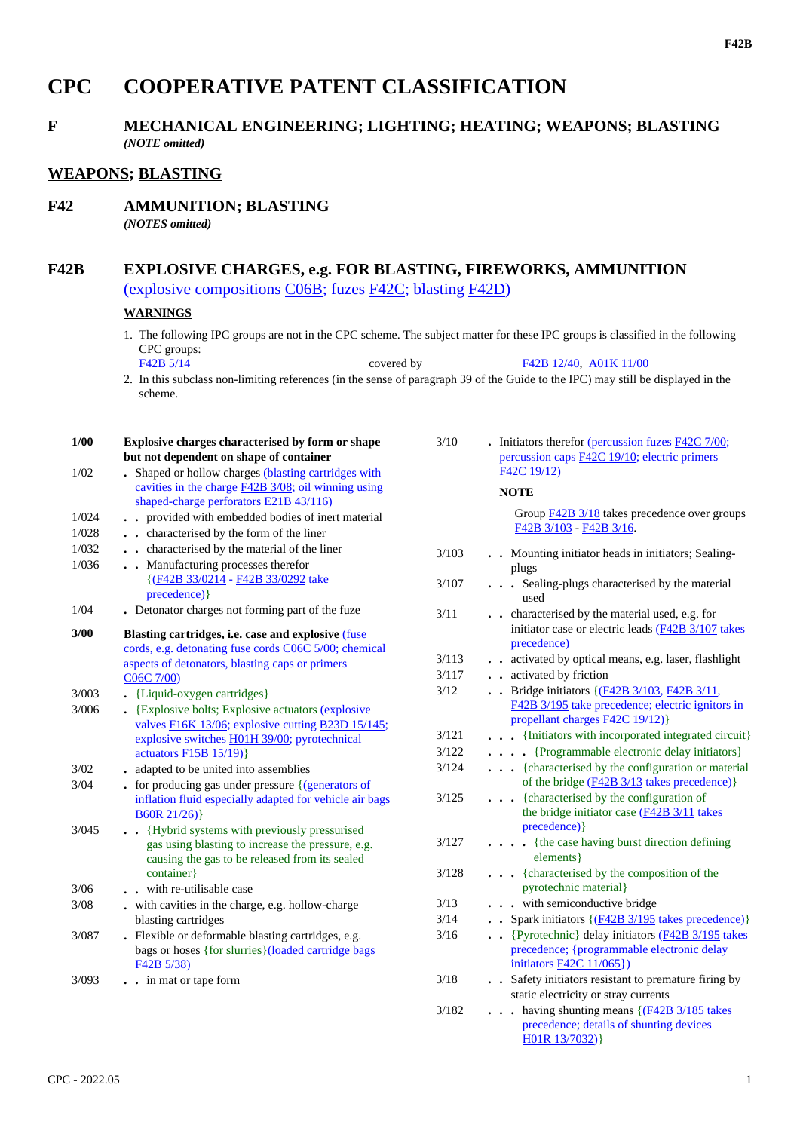# **CPC COOPERATIVE PATENT CLASSIFICATION**

## **F MECHANICAL ENGINEERING; LIGHTING; HEATING; WEAPONS; BLASTING** *(NOTE omitted)*

## **WEAPONS; BLASTING**

**F42 AMMUNITION; BLASTING**

*(NOTES omitted)*

## **F42B EXPLOSIVE CHARGES, e.g. FOR BLASTING, FIREWORKS, AMMUNITION** (explosive compositions C06B; fuzes F42C; blasting F42D)

#### **WARNINGS**

1. The following IPC groups are not in the CPC scheme. The subject matter for these IPC groups is classified in the following CPC groups:<br>F42B 5/14

covered by F42B 12/40, A01K 11/00

2. In this subclass non-limiting references (in the sense of paragraph 39 of the Guide to the IPC) may still be displayed in the scheme.

| $1/00$ | Explosive charges characterised by form or shape<br>but not dependent on shape of container         | 3/10  | - Initiators therefor (percussion fuzes $F42C$ 7/00;<br>percussion caps F42C 19/10; electric primers |
|--------|-----------------------------------------------------------------------------------------------------|-------|------------------------------------------------------------------------------------------------------|
| 1/02   | . Shaped or hollow charges (blasting cartridges with                                                |       | F42C 19/12)                                                                                          |
|        | cavities in the charge $\underline{F42B}$ 3/08; oil winning using                                   |       | <b>NOTE</b>                                                                                          |
| 1/024  | shaped-charge perforators E21B 43/116)<br>. provided with embedded bodies of inert material         |       | Group F42B 3/18 takes precedence over groups                                                         |
| 1/028  | characterised by the form of the liner                                                              |       | F42B 3/103 - F42B 3/16.                                                                              |
| 1/032  | . . characterised by the material of the liner                                                      | 3/103 | . Mounting initiator heads in initiators; Sealing-                                                   |
| 1/036  | . Manufacturing processes therefor                                                                  |       | plugs                                                                                                |
|        | {(F42B 33/0214 - F42B 33/0292 take<br>precedence) }                                                 | 3/107 | . Sealing-plugs characterised by the material<br>used                                                |
| 1/04   | • Detonator charges not forming part of the fuze                                                    | 3/11  | . . characterised by the material used, e.g. for                                                     |
| $3/00$ | Blasting cartridges, i.e. case and explosive (fuse                                                  |       | initiator case or electric leads (F42B 3/107 takes<br>precedence)                                    |
|        | cords, e.g. detonating fuse cords C06C 5/00; chemical                                               | 3/113 | . . activated by optical means, e.g. laser, flashlight                                               |
|        | aspects of detonators, blasting caps or primers<br>C06C 7/00)                                       | 3/117 | . . activated by friction                                                                            |
| 3/003  | • {Liquid-oxygen cartridges}                                                                        | 3/12  | . Bridge initiators {(F42B 3/103, F42B 3/11,                                                         |
| 3/006  | • {Explosive bolts; Explosive actuators (explosive                                                  |       | F42B 3/195 take precedence; electric ignitors in                                                     |
|        | valves F16K 13/06; explosive cutting B23D 15/145;                                                   |       | propellant charges <b>F42C 19/12</b> )}                                                              |
|        | explosive switches H01H 39/00; pyrotechnical                                                        | 3/121 | . {Initiators with incorporated integrated circuit}                                                  |
|        | actuators $F15B 15/19$ }                                                                            | 3/122 | {Programmable electronic delay initiators}                                                           |
| $3/02$ | . adapted to be united into assemblies                                                              | 3/124 | {characterised by the configuration or material                                                      |
| 3/04   | $\bullet$ for producing gas under pressure {(generators of                                          |       | of the bridge $(F42B\frac{3}{13})$ takes precedence)                                                 |
|        | inflation fluid especially adapted for vehicle air bags                                             | 3/125 | {characterised by the configuration of<br>.                                                          |
|        | B60R 21/26                                                                                          |       | the bridge initiator case $(F42B 3/11)$ takes                                                        |
| 3/045  | . Hybrid systems with previously pressurised                                                        | 3/127 | precedence) }<br>. {the case having burst direction defining                                         |
|        | gas using blasting to increase the pressure, e.g.<br>causing the gas to be released from its sealed |       | elements }                                                                                           |
|        | container}                                                                                          | 3/128 | . {characterised by the composition of the                                                           |
| $3/06$ | . . with re-utilisable case                                                                         |       | pyrotechnic material}                                                                                |
| $3/08$ | . with cavities in the charge, e.g. hollow-charge                                                   | 3/13  | . with semiconductive bridge                                                                         |
|        | blasting cartridges                                                                                 | 3/14  | • Spark initiators $\{(\underline{F42B} \frac{3}{195})$ takes precedence)}                           |
| 3/087  | . Flexible or deformable blasting cartridges, e.g.                                                  | 3/16  | . . {Pyrotechnic} delay initiators (F42B 3/195 takes                                                 |
|        | bags or hoses {for slurries}(loaded cartridge bags                                                  |       | precedence; {programmable electronic delay                                                           |
|        | F42B 5/38)                                                                                          |       | initiators $F42C$ 11/065})                                                                           |
| 3/093  | . . in mat or tape form                                                                             | 3/18  | . Safety initiators resistant to premature firing by                                                 |
|        |                                                                                                     |       | static electricity or stray currents                                                                 |
|        |                                                                                                     | 3/182 | . having shunting means {(F42B 3/185 takes<br>precedence; details of shunting devices                |

H01R 13/7032)}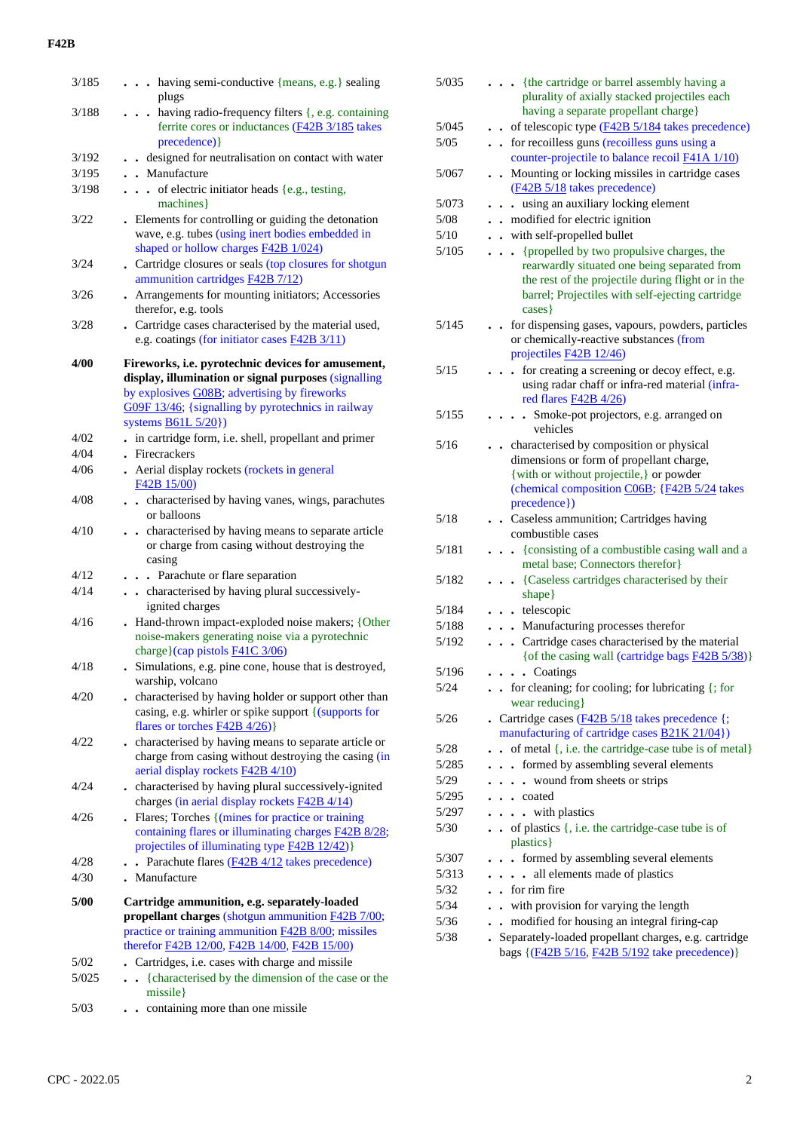| 3/185 | having semi-conductive {means, e.g.} sealing                                                                                                                         |
|-------|----------------------------------------------------------------------------------------------------------------------------------------------------------------------|
|       | plugs                                                                                                                                                                |
| 3/188 | having radio-frequency filters {, e.g. containing<br>ferrite cores or inductances (F42B 3/185 takes<br>precedence) }                                                 |
| 3/192 | . . designed for neutralisation on contact with water                                                                                                                |
| 3/195 | . Manufacture                                                                                                                                                        |
| 3/198 | of electric initiator heads {e.g., testing,                                                                                                                          |
|       | machines }                                                                                                                                                           |
| 3/22  | . Elements for controlling or guiding the detonation<br>wave, e.g. tubes (using inert bodies embedded in<br>shaped or hollow charges F42B 1/024)                     |
| 3/24  | . Cartridge closures or seals (top closures for shotgun<br>ammunition cartridges <b>F42B</b> 7/12)                                                                   |
| 3/26  | Arrangements for mounting initiators; Accessories                                                                                                                    |
|       | therefor, e.g. tools                                                                                                                                                 |
| 3/28  | . Cartridge cases characterised by the material used,                                                                                                                |
|       | e.g. coatings (for initiator cases <b>F42B</b> 3/11)                                                                                                                 |
| 4/00  | Fireworks, i.e. pyrotechnic devices for amusement,                                                                                                                   |
|       | display, illumination or signal purposes (signalling                                                                                                                 |
|       | by explosives G08B; advertising by fireworks                                                                                                                         |
|       | G09F 13/46; {signalling by pyrotechnics in railway                                                                                                                   |
|       | systems $B61L 5/20$ )                                                                                                                                                |
| 4/02  | . in cartridge form, i.e. shell, propellant and primer                                                                                                               |
| 4/04  | . Firecrackers                                                                                                                                                       |
| 4/06  | . Aerial display rockets (rockets in general                                                                                                                         |
|       | F42B 15/00)                                                                                                                                                          |
| 4/08  | . . characterised by having vanes, wings, parachutes<br>or balloons                                                                                                  |
| 4/10  | . . characterised by having means to separate article<br>or charge from casing without destroying the<br>casing                                                      |
| 4/12  | . Parachute or flare separation                                                                                                                                      |
| 4/14  | . . characterised by having plural successively-<br>ignited charges                                                                                                  |
| 4/16  | Hand-thrown impact-exploded noise makers; {Other<br>noise-makers generating noise via a pyrotechnic<br>charge}(cap pistols F41C 3/06)                                |
| 4/18  | . Simulations, e.g. pine cone, house that is destroyed,<br>warship, volcano                                                                                          |
| 4/20  | . characterised by having holder or support other than<br>casing, e.g. whirler or spike support {(supports for<br>flares or torches $F42B 4/26$ }                    |
| 4/22  | . characterised by having means to separate article or<br>charge from casing without destroying the casing (in<br>aerial display rockets <b>F42B 4/10</b> )          |
| 4/24  | characterised by having plural successively-ignited<br>charges (in aerial display rockets F42B 4/14)                                                                 |
| 4/26  | . Flares; Torches {(mines for practice or training)<br>containing flares or illuminating charges F42B 8/28;<br>projectiles of illuminating type <b>F42B 12/42</b> )} |
| 4/28  | Parachute flares (F42B 4/12 takes precedence)<br>$\ddotsc$                                                                                                           |
| 4/30  | . Manufacture                                                                                                                                                        |
|       |                                                                                                                                                                      |
| 5/00  | Cartridge ammunition, e.g. separately-loaded<br>propellant charges (shotgun ammunition F42B 7/00;<br>practice or training ammunition <b>F42B 8/00</b> ; missiles     |
|       | therefor F42B 12/00, F42B 14/00, F42B 15/00)                                                                                                                         |
| 5/02  | . Cartridges, i.e. cases with charge and missile                                                                                                                     |
| 5/025 | {characterised by the dimension of the case or the<br>missile }                                                                                                      |

5/03 **. .** containing more than one missile

| 5/035  | . {the cartridge or barrel assembly having a<br>plurality of axially stacked projectiles each<br>having a separate propellant charge}                                                                          |
|--------|----------------------------------------------------------------------------------------------------------------------------------------------------------------------------------------------------------------|
| 5/045  | - of telescopic type $(F42B 5/184)$ takes precedence)                                                                                                                                                          |
| $5/05$ | for recoilless guns (recoilless guns using a                                                                                                                                                                   |
|        | counter-projectile to balance recoil F41A 1/10)                                                                                                                                                                |
| 5/067  | Mounting or locking missiles in cartridge cases<br>$\ddot{\phantom{a}}$<br>(F42B 5/18 takes precedence)                                                                                                        |
| 5/073  | using an auxiliary locking element<br>$\ddot{\phantom{0}}$<br>$\ddot{\phantom{0}}$                                                                                                                             |
| 5/08   | modified for electric ignition<br>$\ddot{\phantom{0}}$                                                                                                                                                         |
| 5/10   | with self-propelled bullet                                                                                                                                                                                     |
| 5/105  | {propelled by two propulsive charges, the<br>rearwardly situated one being separated from<br>the rest of the projectile during flight or in the<br>barrel; Projectiles with self-ejecting cartridge<br>cases } |
| 5/145  | for dispensing gases, vapours, powders, particles<br>or chemically-reactive substances (from<br>projectiles <b>F42B</b> 12/46)                                                                                 |
| 5/15   | • for creating a screening or decoy effect, e.g.<br>using radar chaff or infra-red material (infra-<br>red flares $F42B$ 4/26)                                                                                 |
| 5/155  | Smoke-pot projectors, e.g. arranged on<br>$\sim$ $\sim$ $\sim$<br>vehicles                                                                                                                                     |
| 5/16   | - characterised by composition or physical<br>dimensions or form of propellant charge,                                                                                                                         |
|        | {with or without projectile,} or powder<br>(chemical composition C06B; {F42B 5/24 takes<br>precedence})                                                                                                        |
| 5/18   | Caseless ammunition; Cartridges having<br>$\ddot{\phantom{0}}$<br>combustible cases                                                                                                                            |
| 5/181  | {consisting of a combustible casing wall and a<br>metal base; Connectors therefor}                                                                                                                             |
| 5/182  | • {Caseless cartridges characterised by their<br>shape}                                                                                                                                                        |
| 5/184  | . . telescopic                                                                                                                                                                                                 |
| 5/188  | . Manufacturing processes therefor                                                                                                                                                                             |
| 5/192  | . Cartridge cases characterised by the material<br>{of the casing wall (cartridge bags F42B 5/38)}                                                                                                             |
| 5/196  | $\cdots$ Coatings                                                                                                                                                                                              |
| 5/24   | for cleaning; for cooling; for lubricating $\{$ ; for<br>wear reducing}                                                                                                                                        |
| 5/26   | Cartridge cases (F42B 5/18 takes precedence {;<br>manufacturing of cartridge cases <b>B21K 21/04</b> })                                                                                                        |
| 5/28   | of metal {, i.e. the cartridge-case tube is of metal}                                                                                                                                                          |
| 5/285  | . formed by assembling several elements                                                                                                                                                                        |
| 5/29   | wound from sheets or strips                                                                                                                                                                                    |
| 5/295  | coated                                                                                                                                                                                                         |
| 5/297  | . with plastics                                                                                                                                                                                                |
| 5/30   | $\bullet$ of plastics $\{$ , i.e. the cartridge-case tube is of<br>plastics }                                                                                                                                  |
| 5/307  | formed by assembling several elements                                                                                                                                                                          |
| 5/313  | all elements made of plastics<br>$\ddot{\phantom{0}}$                                                                                                                                                          |
| 5/32   | . for rim fire                                                                                                                                                                                                 |
| 5/34   | with provision for varying the length                                                                                                                                                                          |
| 5/36   | modified for housing an integral firing-cap<br>$\ddot{\phantom{0}}$                                                                                                                                            |
| 5/38   | Separately-loaded propellant charges, e.g. cartridge<br>bags {(F42B 5/16, F42B 5/192 take precedence)}                                                                                                         |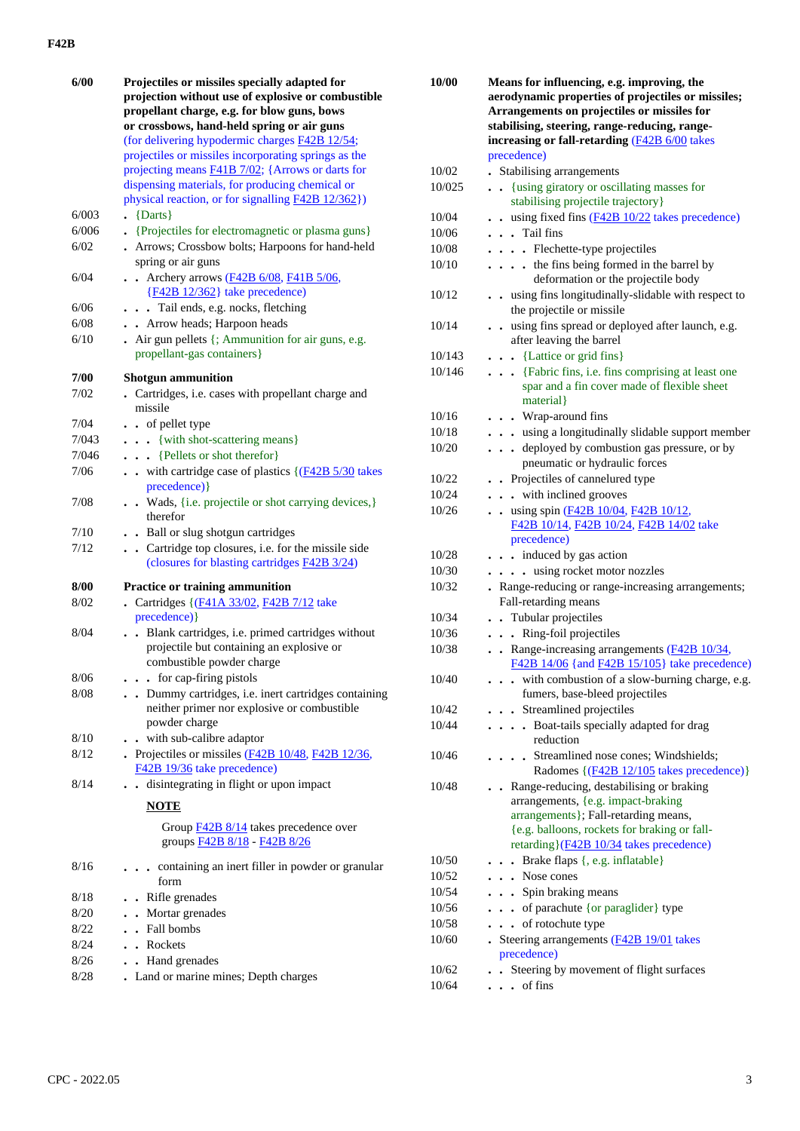| 6/00   | Projectiles or missiles specially adapted for                                 | 10/00  |
|--------|-------------------------------------------------------------------------------|--------|
|        | projection without use of explosive or combustible                            |        |
|        | propellant charge, e.g. for blow guns, bows                                   |        |
|        | or crossbows, hand-held spring or air guns                                    |        |
|        | (for delivering hypodermic charges <b>F42B 12/54</b> ;                        |        |
|        | projectiles or missiles incorporating springs as the                          |        |
|        | projecting means <b>F41B</b> 7/02; {Arrows or darts for                       | 10/02  |
|        | dispensing materials, for producing chemical or                               | 10/025 |
|        | physical reaction, or for signalling F42B 12/362})                            |        |
| 6/003  | $\bullet$ {Darts}                                                             | 10/04  |
| 6/006  | • {Projectiles for electromagnetic or plasma guns}                            | 10/06  |
| 6/02   | . Arrows; Crossbow bolts; Harpoons for hand-held                              | 10/08  |
|        | spring or air guns                                                            | 10/10  |
| 6/04   | . Archery arrows (F42B 6/08, F41B 5/06,                                       |        |
|        | ${F42B 12/362}$ take precedence)                                              | 10/12  |
| 6/06   | . Tail ends, e.g. nocks, fletching                                            |        |
| 6/08   | Arrow heads; Harpoon heads                                                    | 10/14  |
| 6/10   | • Air gun pellets {; Ammunition for air guns, e.g.                            |        |
|        | propellant-gas containers}                                                    | 10/143 |
|        |                                                                               | 10/146 |
| 7/00   | <b>Shotgun</b> ammunition                                                     |        |
| 7/02   | . Cartridges, i.e. cases with propellant charge and                           |        |
|        | missile                                                                       | 10/16  |
| 7/04   | . . of pellet type                                                            | 10/18  |
| 7/043  | {with shot-scattering means}                                                  | 10/20  |
| 7/046  | {Pellets or shot therefor}                                                    |        |
| 7/06   | $\bullet$ with cartridge case of plastics $\{(\underline{F42B 5/30})\}$ takes | 10/22  |
|        | precedence) }                                                                 | 10/24  |
| 7/08   | . . Wads, {i.e. projectile or shot carrying devices,}                         | 10/26  |
|        | therefor                                                                      |        |
| 7/10   | . . Ball or slug shotgun cartridges                                           |        |
| 7/12   | . Cartridge top closures, i.e. for the missile side                           | 10/28  |
|        | (closures for blasting cartridges F42B 3/24)                                  | 10/30  |
| 8/00   | Practice or training ammunition                                               | 10/32  |
| 8/02   | Cartridges {(F41A 33/02, F42B 7/12 take                                       |        |
|        | precedence) }                                                                 | 10/34  |
| 8/04   | . Blank cartridges, i.e. primed cartridges without                            | 10/36  |
|        | projectile but containing an explosive or                                     | 10/38  |
|        | combustible powder charge                                                     |        |
| 8/06   | . . for cap-firing pistols                                                    | 10/40  |
| $8/08$ | . . Dummy cartridges, i.e. inert cartridges containing                        |        |
|        | neither primer nor explosive or combustible                                   | 10/42  |
|        | powder charge                                                                 | 10/44  |
| 8/10   | . . with sub-calibre adaptor                                                  |        |
| 8/12   | Projectiles or missiles $(F42B 10/48, F42B 12/36,$                            | 10/46  |
|        | F42B 19/36 take precedence)                                                   |        |
| 8/14   | . . disintegrating in flight or upon impact                                   | 10/48  |
|        | <b>NOTE</b>                                                                   |        |
|        |                                                                               |        |
|        | Group F42B 8/14 takes precedence over                                         |        |
|        | groups F42B 8/18 - F42B 8/26                                                  |        |
| 8/16   | containing an inert filler in powder or granular                              | 10/50  |
|        | form                                                                          | 10/52  |
| 8/18   | . Rifle grenades                                                              | 10/54  |
| 8/20   | • Mortar grenades                                                             | 10/56  |
| 8/22   | . Fall bombs                                                                  | 10/58  |
| 8/24   | . Rockets                                                                     | 10/60  |
| 8/26   | • Hand grenades                                                               |        |
| 8/28   | Land or marine mines; Depth charges                                           | 10/62  |
|        |                                                                               | 10/64  |

| Means for influencing, e.g. improving, the<br>aerodynamic properties of projectiles or missiles;<br>Arrangements on projectiles or missiles for<br>stabilising, steering, range-reducing, range-<br>increasing or fall-retarding (F42B 6/00 takes |
|---------------------------------------------------------------------------------------------------------------------------------------------------------------------------------------------------------------------------------------------------|
| precedence)                                                                                                                                                                                                                                       |
| • Stabilising arrangements                                                                                                                                                                                                                        |
| • {using giratory or oscillating masses for                                                                                                                                                                                                       |
| stabilising projectile trajectory}                                                                                                                                                                                                                |
| using fixed fins $(F42B 10/22)$ takes precedence)<br>$\ddot{\phantom{a}}$                                                                                                                                                                         |
| . Tail fins                                                                                                                                                                                                                                       |
| . Flechette-type projectiles                                                                                                                                                                                                                      |
| . the fins being formed in the barrel by<br>deformation or the projectile body                                                                                                                                                                    |
| . using fins longitudinally-slidable with respect to<br>the projectile or missile                                                                                                                                                                 |
| . using fins spread or deployed after launch, e.g.<br>after leaving the barrel                                                                                                                                                                    |
| $\bullet$ $\bullet$ {Lattice or grid fins}                                                                                                                                                                                                        |
| {Fabric fins, i.e. fins comprising at least one<br>spar and a fin cover made of flexible sheet<br>material }                                                                                                                                      |
| . Wrap-around fins                                                                                                                                                                                                                                |
| . . using a longitudinally slidable support member                                                                                                                                                                                                |
| . . deployed by combustion gas pressure, or by                                                                                                                                                                                                    |
| pneumatic or hydraulic forces                                                                                                                                                                                                                     |
| . Projectiles of cannelured type                                                                                                                                                                                                                  |
| . . with inclined grooves                                                                                                                                                                                                                         |
| $\cdot$ using spin ( $\frac{F42B}{10/04}$ , $\frac{F42B}{10/12}$ ,                                                                                                                                                                                |
| F42B 10/14, F42B 10/24, F42B 14/02 take<br>precedence)                                                                                                                                                                                            |
| induced by gas action                                                                                                                                                                                                                             |
| using rocket motor nozzles                                                                                                                                                                                                                        |
| . Range-reducing or range-increasing arrangements;<br>Fall-retarding means                                                                                                                                                                        |
| • Tubular projectiles                                                                                                                                                                                                                             |
| . Ring-foil projectiles                                                                                                                                                                                                                           |
| Range-increasing arrangements (F42B 10/34,                                                                                                                                                                                                        |
| F42B 14/06 {and F42B 15/105} take precedence)                                                                                                                                                                                                     |
| . . with combustion of a slow-burning charge, e.g.<br>fumers, base-bleed projectiles                                                                                                                                                              |
| Streamlined projectiles                                                                                                                                                                                                                           |
| Boat-tails specially adapted for drag<br>$\ddot{\phantom{a}}$<br>reduction                                                                                                                                                                        |
| · Streamlined nose cones; Windshields;<br>Radomes {(F42B 12/105 takes precedence)}                                                                                                                                                                |
| . Range-reducing, destabilising or braking<br>arrangements, {e.g. impact-braking<br>arrangements }; Fall-retarding means,<br>{e.g. balloons, rockets for braking or fall-<br>retarding}(F42B 10/34 takes precedence)                              |
| Brake flaps {, e.g. inflatable}                                                                                                                                                                                                                   |
| . Nose cones                                                                                                                                                                                                                                      |
| • Spin braking means                                                                                                                                                                                                                              |
| of parachute {or paraglider} type                                                                                                                                                                                                                 |
| of rotochute type                                                                                                                                                                                                                                 |
| Steering arrangements (F42B 19/01 takes<br>precedence)                                                                                                                                                                                            |
| Steering by movement of flight surfaces                                                                                                                                                                                                           |
| . of fins                                                                                                                                                                                                                                         |
|                                                                                                                                                                                                                                                   |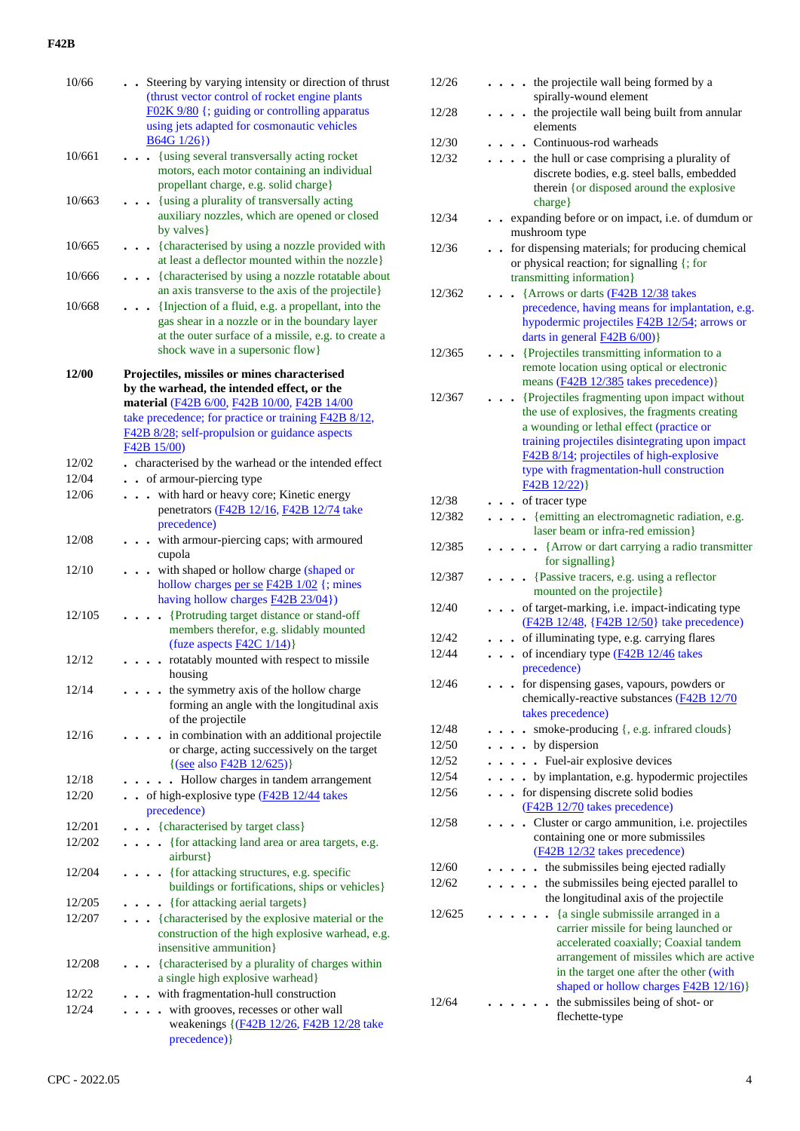| 10/66        |        | • Steering by varying intensity or direction of thrust<br>(thrust vector control of rocket engine plants<br>F02K 9/80 {; guiding or controlling apparatus<br>using jets adapted for cosmonautic vehicles<br>$B64G1/26$ })                                           |
|--------------|--------|---------------------------------------------------------------------------------------------------------------------------------------------------------------------------------------------------------------------------------------------------------------------|
|              | 10/661 | • {using several transversally acting rocket<br>motors, each motor containing an individual<br>propellant charge, e.g. solid charge}                                                                                                                                |
|              | 10/663 | {using a plurality of transversally acting<br>auxiliary nozzles, which are opened or closed<br>by valves}                                                                                                                                                           |
|              | 10/665 | {characterised by using a nozzle provided with<br>at least a deflector mounted within the nozzle}                                                                                                                                                                   |
|              | 10/666 | . {characterised by using a nozzle rotatable about<br>an axis transverse to the axis of the projectile}                                                                                                                                                             |
|              | 10/668 | {Injection of a fluid, e.g. a propellant, into the<br>$\ddot{\phantom{a}}$<br>gas shear in a nozzle or in the boundary layer<br>at the outer surface of a missile, e.g. to create a<br>shock wave in a supersonic flow}                                             |
| <b>12/00</b> |        | Projectiles, missiles or mines characterised<br>by the warhead, the intended effect, or the<br>material (F42B 6/00, F42B 10/00, F42B 14/00<br>take precedence; for practice or training F42B 8/12,<br>F42B 8/28; self-propulsion or guidance aspects<br>F42B 15/00) |
| 12/02        |        | . characterised by the warhead or the intended effect                                                                                                                                                                                                               |
| 12/04        |        | . . of armour-piercing type                                                                                                                                                                                                                                         |
| 12/06        |        | . with hard or heavy core; Kinetic energy<br>penetrators (F42B 12/16, F42B 12/74 take<br>precedence)                                                                                                                                                                |
| 12/08        |        | . with armour-piercing caps; with armoured<br>cupola                                                                                                                                                                                                                |
| 12/10        |        | with shaped or hollow charge (shaped or<br>hollow charges per se F42B 1/02 {; mines<br>having hollow charges <b>F42B 23/04</b> })                                                                                                                                   |
|              | 12/105 | {Protruding target distance or stand-off<br>$\ddot{\phantom{a}}$<br>members therefor, e.g. slidably mounted<br>(fuze aspects $F42C$ 1/14)}                                                                                                                          |
| 12/12        |        | . rotatably mounted with respect to missile<br>housing                                                                                                                                                                                                              |
| 12/14        |        | the symmetry axis of the hollow charge<br>forming an angle with the longitudinal axis<br>of the projectile                                                                                                                                                          |
| 12/16        |        | in combination with an additional projectile<br>or charge, acting successively on the target<br>{(see also F42B 12/625)}                                                                                                                                            |
| 12/18        |        | Hollow charges in tandem arrangement                                                                                                                                                                                                                                |
| 12/20        |        | . of high-explosive type (F42B 12/44 takes<br>precedence)                                                                                                                                                                                                           |
|              | 12/201 | . {characterised by target class}                                                                                                                                                                                                                                   |
|              | 12/202 | • {for attacking land area or area targets, e.g.<br>airburst}                                                                                                                                                                                                       |
|              | 12/204 | • {for attacking structures, e.g. specific<br>buildings or fortifications, ships or vehicles}                                                                                                                                                                       |
|              | 12/205 | {for attacking aerial targets}<br>$\bullet$                                                                                                                                                                                                                         |
|              | 12/207 | . {characterised by the explosive material or the<br>construction of the high explosive warhead, e.g.<br>insensitive ammunition}                                                                                                                                    |
|              | 12/208 | {characterised by a plurality of charges within                                                                                                                                                                                                                     |
|              |        | a single high explosive warhead}                                                                                                                                                                                                                                    |
| 12/22        |        | with fragmentation-hull construction                                                                                                                                                                                                                                |
| 12/24        |        | with grooves, recesses or other wall<br>weakenings {(F42B 12/26, F42B 12/28 take<br>precedence) }                                                                                                                                                                   |

| 12/26          |        |                      |                      | . the projectile wall being formed by a<br>spirally-wound element                    |
|----------------|--------|----------------------|----------------------|--------------------------------------------------------------------------------------|
| 12/28          |        |                      |                      | . the projectile wall being built from annular<br>elements                           |
| 12/30          |        |                      |                      | Continuous-rod warheads                                                              |
| 12/32          |        |                      |                      | . . the hull or case comprising a plurality of                                       |
|                |        |                      |                      | discrete bodies, e.g. steel balls, embedded                                          |
|                |        |                      |                      | therein {or disposed around the explosive                                            |
|                |        |                      |                      | charge}                                                                              |
| 12/34          |        |                      |                      | - expanding before or on impact, i.e. of dumdum or                                   |
|                |        |                      |                      | mushroom type                                                                        |
| 12/36          |        |                      |                      | - for dispensing materials; for producing chemical                                   |
|                |        |                      |                      | or physical reaction; for signalling {; for                                          |
|                |        |                      |                      | transmitting information}                                                            |
| 12/362         |        |                      |                      | {Arrows or darts (F42B 12/38 takes                                                   |
|                |        |                      |                      | precedence, having means for implantation, e.g.                                      |
|                |        |                      |                      | hypodermic projectiles <b>F42B 12/54</b> ; arrows or                                 |
|                |        |                      |                      | darts in general $F42B_6/00$ }                                                       |
| 12/365         |        |                      |                      | • {Projectiles transmitting information to a                                         |
|                |        |                      |                      | remote location using optical or electronic<br>means (F42B 12/385 takes precedence)} |
| 12/367         |        |                      |                      | {Projectiles fragmenting upon impact without                                         |
|                |        |                      |                      | the use of explosives, the fragments creating                                        |
|                |        |                      |                      | a wounding or lethal effect (practice or                                             |
|                |        |                      |                      | training projectiles disintegrating upon impact                                      |
|                |        |                      |                      | F42B 8/14; projectiles of high-explosive                                             |
|                |        |                      |                      | type with fragmentation-hull construction                                            |
|                |        |                      |                      | F42B12/22)                                                                           |
| 12/38          |        |                      |                      | of tracer type                                                                       |
| 12/382         |        |                      |                      | {emitting an electromagnetic radiation, e.g.                                         |
|                |        |                      |                      | laser beam or infra-red emission}                                                    |
| 12/385         |        |                      |                      | • {Arrow or dart carrying a radio transmitter<br>for signalling}                     |
| 12/387         |        |                      |                      | • {Passive tracers, e.g. using a reflector                                           |
|                |        |                      |                      | mounted on the projectile}                                                           |
| 12/40          |        | $\ddot{\phantom{0}}$ |                      | of target-marking, i.e. impact-indicating type                                       |
|                |        |                      |                      | (F42B 12/48, {F42B 12/50} take precedence)                                           |
| 12/42          |        |                      |                      | of illuminating type, e.g. carrying flares                                           |
| 12/44          |        |                      |                      | of incendiary type (F42B 12/46 takes                                                 |
|                |        |                      |                      | precedence)                                                                          |
| 12/46          |        |                      |                      | for dispensing gases, vapours, powders or                                            |
|                |        |                      |                      | chemically-reactive substances (F42B 12/70                                           |
|                |        |                      |                      | takes precedence)                                                                    |
| 12/48          |        |                      |                      | smoke-producing {, e.g. infrared clouds}                                             |
| 12/50          |        |                      |                      | $\cdot \cdot \cdot$ by dispersion                                                    |
| 12/52          |        |                      |                      | Fuel-air explosive devices<br>$\ddot{\phantom{a}}$                                   |
| 12/54<br>12/56 |        |                      | $\ddot{\phantom{0}}$ | by implantation, e.g. hypodermic projectiles<br>for dispensing discrete solid bodies |
|                | $\sim$ | $\ddot{\phantom{0}}$ |                      | (F42B 12/70 takes precedence)                                                        |
| 12/58          |        |                      | $\ddot{\phantom{0}}$ | Cluster or cargo ammunition, i.e. projectiles                                        |
|                |        |                      |                      | containing one or more submissiles                                                   |
|                |        |                      |                      | (F42B 12/32 takes precedence)                                                        |
| 12/60          |        |                      |                      | the submissiles being ejected radially                                               |
| 12/62          |        |                      |                      | the submissiles being ejected parallel to<br>$\ddot{\phantom{0}}$                    |
|                |        |                      |                      | the longitudinal axis of the projectile                                              |
| 12/625         |        |                      |                      | {a single submissile arranged in a                                                   |
|                |        |                      |                      | carrier missile for being launched or                                                |
|                |        |                      |                      | accelerated coaxially; Coaxial tandem<br>arrangement of missiles which are active    |
|                |        |                      |                      | in the target one after the other (with                                              |
|                |        |                      |                      | shaped or hollow charges <b>F42B 12/16</b> )}                                        |
| 12/64          |        |                      |                      | the submissiles being of shot- or                                                    |
|                |        |                      |                      | flechette-type                                                                       |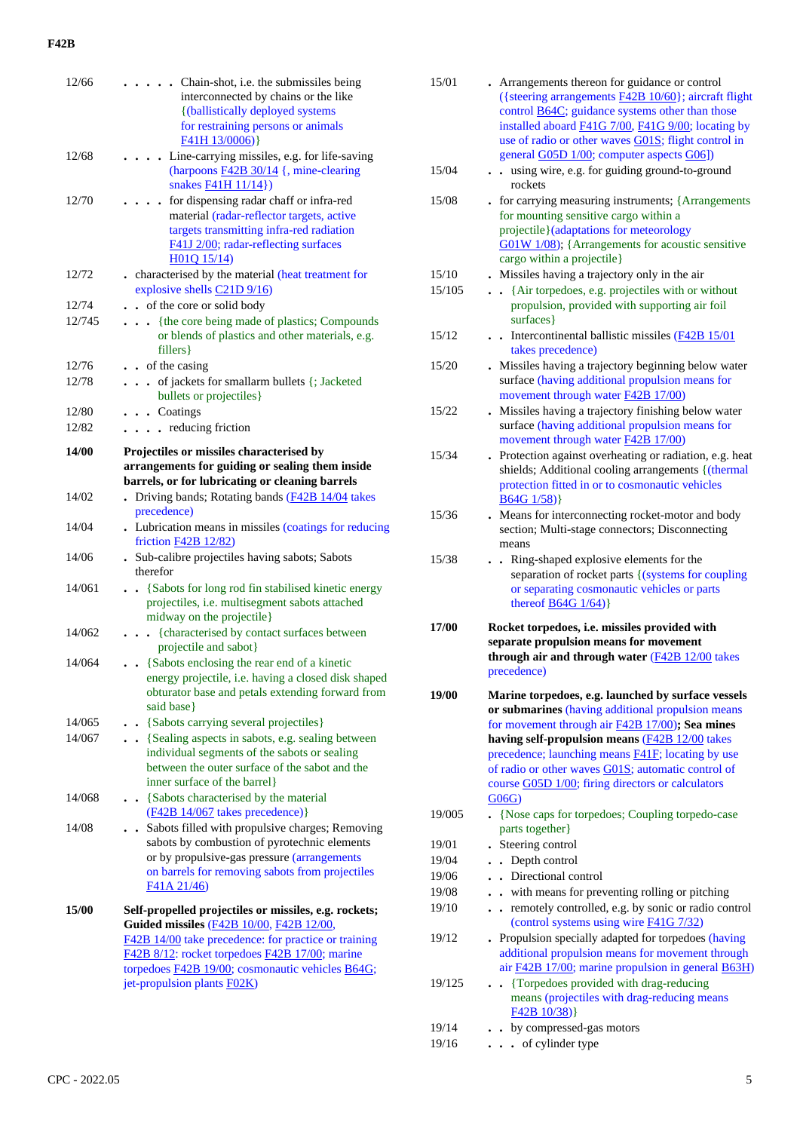| 12/66  | • Chain-shot, i.e. the submissiles being                                                               |
|--------|--------------------------------------------------------------------------------------------------------|
|        | interconnected by chains or the like                                                                   |
|        | {(ballistically deployed systems<br>for restraining persons or animals                                 |
|        | F41H13/0006)                                                                                           |
| 12/68  | Line-carrying missiles, e.g. for life-saving                                                           |
|        | (harpoons <b>F42B</b> 30/14 {, mine-clearing                                                           |
|        | snakes <b>F41H 11/14</b> })                                                                            |
| 12/70  | for dispensing radar chaff or infra-red<br>$\ddot{\phantom{0}}$                                        |
|        | material (radar-reflector targets, active                                                              |
|        | targets transmitting infra-red radiation<br>F41J 2/00; radar-reflecting surfaces                       |
|        | H01Q 15/14)                                                                                            |
| 12/72  | . characterised by the material (heat treatment for                                                    |
|        | explosive shells C21D 9/16)                                                                            |
| 12/74  | of the core or solid body                                                                              |
| 12/745 | {the core being made of plastics; Compounds<br>$\cdots$                                                |
|        | or blends of plastics and other materials, e.g.                                                        |
| 12/76  | fillers<br>. . of the casing                                                                           |
| 12/78  | of jackets for smallarm bullets {; Jacketed                                                            |
|        | bullets or projectiles}                                                                                |
| 12/80  | $\ldots$ Coatings                                                                                      |
| 12/82  | $\cdots$ $\cdots$ reducing friction                                                                    |
| 14/00  | Projectiles or missiles characterised by                                                               |
|        | arrangements for guiding or sealing them inside                                                        |
|        | barrels, or for lubricating or cleaning barrels                                                        |
| 14/02  | . Driving bands; Rotating bands (F42B 14/04 takes                                                      |
| 14/04  | precedence)<br>. Lubrication means in missiles (coatings for reducing                                  |
|        | friction F42B 12/82)                                                                                   |
| 14/06  | Sub-calibre projectiles having sabots; Sabots                                                          |
|        | therefor                                                                                               |
| 14/061 | . . {Sabots for long rod fin stabilised kinetic energy                                                 |
|        | projectiles, i.e. multisegment sabots attached<br>midway on the projectile}                            |
| 14/062 | {characterised by contact surfaces between<br>.                                                        |
|        | projectile and sabot}                                                                                  |
| 14/064 | . . {Sabots enclosing the rear end of a kinetic                                                        |
|        | energy projectile, i.e. having a closed disk shaped                                                    |
|        | obturator base and petals extending forward from<br>said base}                                         |
| 14/065 | . . {Sabots carrying several projectiles}                                                              |
| 14/067 | . . {Sealing aspects in sabots, e.g. sealing between                                                   |
|        | individual segments of the sabots or sealing                                                           |
|        | between the outer surface of the sabot and the                                                         |
|        | inner surface of the barrel)                                                                           |
| 14/068 | . . {Sabots characterised by the material                                                              |
| 14/08  | (F42B 14/067 takes precedence)}<br>Sabots filled with propulsive charges; Removing                     |
|        | sabots by combustion of pyrotechnic elements                                                           |
|        | or by propulsive-gas pressure (arrangements                                                            |
|        | on barrels for removing sabots from projectiles                                                        |
|        | F41A 21/46)                                                                                            |
| 15/00  | Self-propelled projectiles or missiles, e.g. rockets;                                                  |
|        | Guided missiles (F42B 10/00, F42B 12/00,                                                               |
|        | F42B 14/00 take precedence: for practice or training<br>F42B 8/12: rocket torpedoes F42B 17/00; marine |
|        | torpedoes F42B 19/00; cosmonautic vehicles B64G;                                                       |
|        | jet-propulsion plants F02K)                                                                            |
|        |                                                                                                        |

| 15/01  | Arrangements thereon for guidance or control<br>({steering arrangements F42B 10/60}; aircraft flight<br>control <b>B64C</b> ; guidance systems other than those<br>installed aboard F41G 7/00, F41G 9/00; locating by<br>use of radio or other waves G01S; flight control in<br>general G05D 1/00; computer aspects G06])                                                                            |
|--------|------------------------------------------------------------------------------------------------------------------------------------------------------------------------------------------------------------------------------------------------------------------------------------------------------------------------------------------------------------------------------------------------------|
| 15/04  | . . using wire, e.g. for guiding ground-to-ground<br>rockets                                                                                                                                                                                                                                                                                                                                         |
| 15/08  | • for carrying measuring instruments; {Arrangements<br>for mounting sensitive cargo within a<br>projectile}(adaptations for meteorology<br>G01W 1/08); {Arrangements for acoustic sensitive<br>cargo within a projectile}                                                                                                                                                                            |
| 15/10  | . Missiles having a trajectory only in the air                                                                                                                                                                                                                                                                                                                                                       |
| 15/105 | {Air torpedoes, e.g. projectiles with or without<br>propulsion, provided with supporting air foil<br>surfaces}                                                                                                                                                                                                                                                                                       |
| 15/12  | $\bullet$ . Intercontinental ballistic missiles ( $\frac{F42B}{15/01}$<br>takes precedence)                                                                                                                                                                                                                                                                                                          |
| 15/20  | Missiles having a trajectory beginning below water<br>surface (having additional propulsion means for<br>movement through water F42B 17/00)                                                                                                                                                                                                                                                          |
| 15/22  | . Missiles having a trajectory finishing below water<br>surface (having additional propulsion means for<br>movement through water F42B 17/00)                                                                                                                                                                                                                                                        |
| 15/34  | Protection against overheating or radiation, e.g. heat<br>shields; Additional cooling arrangements {(thermal<br>protection fitted in or to cosmonautic vehicles<br>$B64G$ 1/58)                                                                                                                                                                                                                      |
| 15/36  | Means for interconnecting rocket-motor and body<br>section; Multi-stage connectors; Disconnecting<br>means                                                                                                                                                                                                                                                                                           |
| 15/38  | . Ring-shaped explosive elements for the<br>separation of rocket parts {(systems for coupling<br>or separating cosmonautic vehicles or parts<br>thereof $\underline{B64G}$ 1/64)}                                                                                                                                                                                                                    |
| 17/00  | Rocket torpedoes, i.e. missiles provided with<br>separate propulsion means for movement<br>through air and through water (F42B 12/00 takes<br>precedence)                                                                                                                                                                                                                                            |
| 19/00  | Marine torpedoes, e.g. launched by surface vessels<br>or submarines (having additional propulsion means<br>for movement through air <b>F42B 17/00</b> ); Sea mines<br>having self-propulsion means (F42B 12/00 takes<br>precedence; launching means <b>F41F</b> ; locating by use<br>of radio or other waves G01S; automatic control of<br>course G05D 1/00; firing directors or calculators<br>G06G |
| 19/005 | {Nose caps for torpedoes; Coupling torpedo-case<br>parts together}                                                                                                                                                                                                                                                                                                                                   |
| 19/01  | . Steering control                                                                                                                                                                                                                                                                                                                                                                                   |
| 19/04  | • Depth control                                                                                                                                                                                                                                                                                                                                                                                      |
| 19/06  | • Directional control                                                                                                                                                                                                                                                                                                                                                                                |
| 19/08  | - with means for preventing rolling or pitching                                                                                                                                                                                                                                                                                                                                                      |
| 19/10  | . remotely controlled, e.g. by sonic or radio control<br>(control systems using wire <b>F41G</b> 7/32)                                                                                                                                                                                                                                                                                               |
| 19/12  | Propulsion specially adapted for torpedoes (having<br>additional propulsion means for movement through<br>air F42B 17/00; marine propulsion in general B63H)                                                                                                                                                                                                                                         |
| 19/125 | {Torpedoes provided with drag-reducing<br>means (projectiles with drag-reducing means<br>F42B10/38)                                                                                                                                                                                                                                                                                                  |

- 19/14 **. .** by compressed-gas motors
- 19/16 **. . .** of cylinder type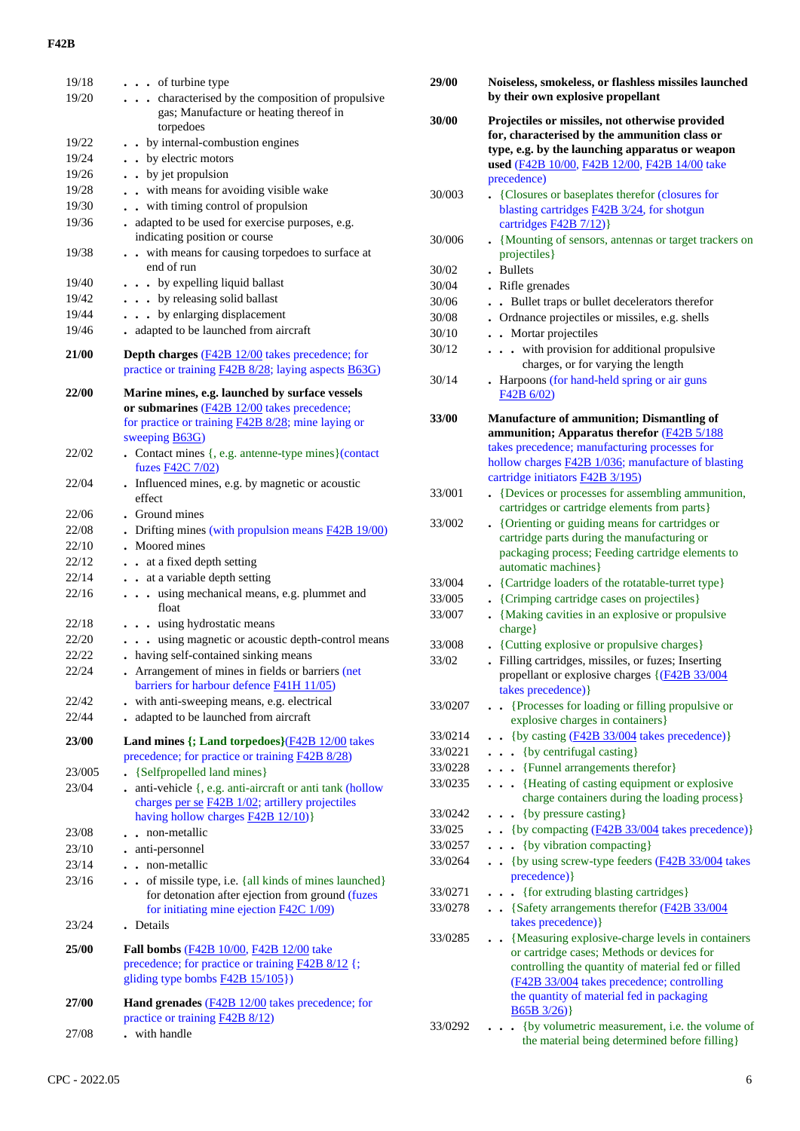| 19/18<br>19/20 | $\cdots$ of turbine type<br>. characterised by the composition of propulsive<br>gas; Manufacture or heating thereof in<br>torpedoes                                                 |
|----------------|-------------------------------------------------------------------------------------------------------------------------------------------------------------------------------------|
| 19/22          | . . by internal-combustion engines                                                                                                                                                  |
| 19/24          | • by electric motors                                                                                                                                                                |
| 19/26          | • by jet propulsion                                                                                                                                                                 |
| 19/28          | with means for avoiding visible wake                                                                                                                                                |
| 19/30          | with timing control of propulsion                                                                                                                                                   |
| 19/36          | adapted to be used for exercise purposes, e.g.                                                                                                                                      |
|                | indicating position or course                                                                                                                                                       |
| 19/38          | with means for causing torpedoes to surface at<br>end of run                                                                                                                        |
| 19/40          | . by expelling liquid ballast                                                                                                                                                       |
| 19/42          | . by releasing solid ballast                                                                                                                                                        |
| 19/44          | by enlarging displacement                                                                                                                                                           |
| 19/46          | adapted to be launched from aircraft                                                                                                                                                |
| 21/00          | <b>Depth charges</b> (F42B 12/00 takes precedence; for<br>practice or training <b>F42B 8/28</b> ; laying aspects <b>B63G</b> )                                                      |
| 22/00          | Marine mines, e.g. launched by surface vessels<br>or submarines $(F42B 12/00)$ takes precedence;<br>for practice or training <b>F42B 8/28</b> ; mine laying or<br>sweeping $B63G$ ) |
| 22/02          | • Contact mines {, e.g. antenne-type mines}(contact<br>fuzes F42C 7/02)                                                                                                             |
| 22/04          | . Influenced mines, e.g. by magnetic or acoustic<br>effect                                                                                                                          |
| 22/06          | • Ground mines                                                                                                                                                                      |
| 22/08          | Drifting mines (with propulsion means <b>F42B 19/00</b> )                                                                                                                           |
| 22/10          | Moored mines                                                                                                                                                                        |
| 22/12          | at a fixed depth setting<br>$\ddot{\phantom{0}}$                                                                                                                                    |
| 22/14          | . . at a variable depth setting                                                                                                                                                     |
| 22/16          | using mechanical means, e.g. plummet and<br>$\cdots$<br>float                                                                                                                       |
| 22/18          | . using hydrostatic means                                                                                                                                                           |
| 22/20          | using magnetic or acoustic depth-control means                                                                                                                                      |
| 22/22          | . having self-contained sinking means                                                                                                                                               |
| 22/24          | Arrangement of mines in fields or barriers (net<br>barriers for harbour defence <b>F41H 11/05</b> )                                                                                 |
| 22/42          | - with anti-sweeping means, e.g. electrical                                                                                                                                         |
| 22/44          | adapted to be launched from aircraft<br>$\ddot{\phantom{0}}$                                                                                                                        |
| 23/00          | Land mines {; Land torpedoes} (F42B 12/00 takes<br>precedence; for practice or training F42B 8/28)                                                                                  |
| 23/005         | {Selfpropelled land mines}                                                                                                                                                          |
| 23/04          | . anti-vehicle {, e.g. anti-aircraft or anti tank (hollow<br>charges per se F42B 1/02; artillery projectiles<br>having hollow charges <b>F42B 12/10</b> )}                          |
| 23/08          | non-metallic<br>$\sim$                                                                                                                                                              |
| 23/10          | . anti-personnel                                                                                                                                                                    |
| 23/14          | . . non-metallic                                                                                                                                                                    |
| 23/16          | . . of missile type, i.e. {all kinds of mines launched}                                                                                                                             |
|                | for detonation after ejection from ground (fuzes<br>for initiating mine ejection $F42C$ 1/09)                                                                                       |
| 23/24          | . Details                                                                                                                                                                           |
| 25/00          | Fall bombs (F42B 10/00, F42B 12/00 take                                                                                                                                             |
|                | precedence; for practice or training F42B 8/12 {;<br>gliding type bombs <b>F42B</b> 15/105})                                                                                        |
| 27/00          | Hand grenades (F42B 12/00 takes precedence; for<br>practice or training <b>F42B 8/12</b> )                                                                                          |
| 27/08          | . with handle                                                                                                                                                                       |

| 29/00          | Noiseless, smokeless, or flashless missiles launched<br>by their own explosive propellant                                                           |  |  |  |  |
|----------------|-----------------------------------------------------------------------------------------------------------------------------------------------------|--|--|--|--|
| 30/00          | Projectiles or missiles, not otherwise provided<br>for, characterised by the ammunition class or<br>type, e.g. by the launching apparatus or weapon |  |  |  |  |
|                | used (F42B 10/00, F42B 12/00, F42B 14/00 take                                                                                                       |  |  |  |  |
|                | precedence)                                                                                                                                         |  |  |  |  |
| 30/003         | {Closures or baseplates therefor (closures for<br>blasting cartridges <b>F42B</b> 3/24, for shotgun                                                 |  |  |  |  |
|                | cartridges <b>F42B</b> 7/12)}                                                                                                                       |  |  |  |  |
| 30/006         | • {Mounting of sensors, antennas or target trackers on                                                                                              |  |  |  |  |
|                | projectiles}                                                                                                                                        |  |  |  |  |
| 30/02          | . Bullets                                                                                                                                           |  |  |  |  |
| 30/04          | Rifle grenades                                                                                                                                      |  |  |  |  |
| 30/06          | Bullet traps or bullet decelerators therefor<br>$\bullet$                                                                                           |  |  |  |  |
| 30/08<br>30/10 | . Ordnance projectiles or missiles, e.g. shells<br>. Mortar projectiles                                                                             |  |  |  |  |
| 30/12          | . with provision for additional propulsive                                                                                                          |  |  |  |  |
|                | charges, or for varying the length                                                                                                                  |  |  |  |  |
| 30/14          | Harpoons (for hand-held spring or air guns                                                                                                          |  |  |  |  |
|                | F42B 6/02)                                                                                                                                          |  |  |  |  |
| 33/00          | <b>Manufacture of ammunition; Dismantling of</b>                                                                                                    |  |  |  |  |
|                | ammunition; Apparatus therefor (F42B 5/188                                                                                                          |  |  |  |  |
|                | takes precedence; manufacturing processes for                                                                                                       |  |  |  |  |
|                | hollow charges <b>F42B 1/036</b> ; manufacture of blasting                                                                                          |  |  |  |  |
| 33/001         | cartridge initiators F42B 3/195)<br>• {Devices or processes for assembling ammunition,                                                              |  |  |  |  |
|                | cartridges or cartridge elements from parts}                                                                                                        |  |  |  |  |
| 33/002         | • {Orienting or guiding means for cartridges or                                                                                                     |  |  |  |  |
|                | cartridge parts during the manufacturing or                                                                                                         |  |  |  |  |
|                | packaging process; Feeding cartridge elements to                                                                                                    |  |  |  |  |
| 33/004         | automatic machines}<br>• {Cartridge loaders of the rotatable-turret type}                                                                           |  |  |  |  |
| 33/005         | • {Crimping cartridge cases on projectiles}                                                                                                         |  |  |  |  |
| 33/007         | • {Making cavities in an explosive or propulsive                                                                                                    |  |  |  |  |
|                | charge}                                                                                                                                             |  |  |  |  |
| 33/008         | • {Cutting explosive or propulsive charges}                                                                                                         |  |  |  |  |
| 33/02          | Filling cartridges, missiles, or fuzes; Inserting                                                                                                   |  |  |  |  |
|                | propellant or explosive charges $\left( \frac{F42B}{33/004} \right)$<br>takes precedence) }                                                         |  |  |  |  |
| 33/0207        | {Processes for loading or filling propulsive or                                                                                                     |  |  |  |  |
|                | explosive charges in containers}                                                                                                                    |  |  |  |  |
| 33/0214        | . {by casting $(F42B\ 33/004$ takes precedence)}                                                                                                    |  |  |  |  |
| 33/0221        | . . {by centrifugal casting}                                                                                                                        |  |  |  |  |
| 33/0228        | {Funnel arrangements therefor}<br>$\ddot{\phantom{0}}$                                                                                              |  |  |  |  |
| 33/0235        | {Heating of casting equipment or explosive<br>$\ddot{\phantom{a}}$<br>charge containers during the loading process}                                 |  |  |  |  |
| 33/0242        | {by pressure casting}<br>$\ddot{\phantom{0}}$                                                                                                       |  |  |  |  |
| 33/025         | . {by compacting $(F42B 33/004$ takes precedence)}                                                                                                  |  |  |  |  |
| 33/0257        | {by vibration compacting}                                                                                                                           |  |  |  |  |
| 33/0264        | {by using screw-type feeders (F42B 33/004 takes<br>$\ddot{\phantom{0}}$                                                                             |  |  |  |  |
|                | precedence) }                                                                                                                                       |  |  |  |  |
| 33/0271        | {for extruding blasting cartridges}                                                                                                                 |  |  |  |  |
| 33/0278        | • {Safety arrangements therefor (F42B 33/004<br>takes precedence) }                                                                                 |  |  |  |  |
| 33/0285        | {Measuring explosive-charge levels in containers                                                                                                    |  |  |  |  |
|                | or cartridge cases; Methods or devices for                                                                                                          |  |  |  |  |
|                | controlling the quantity of material fed or filled                                                                                                  |  |  |  |  |
|                | (F42B 33/004 takes precedence; controlling                                                                                                          |  |  |  |  |
|                | the quantity of material fed in packaging<br>$B65B3/26$ }                                                                                           |  |  |  |  |
| 33/0292        | {by volumetric measurement, i.e. the volume of                                                                                                      |  |  |  |  |
|                | the material being determined before filling}                                                                                                       |  |  |  |  |